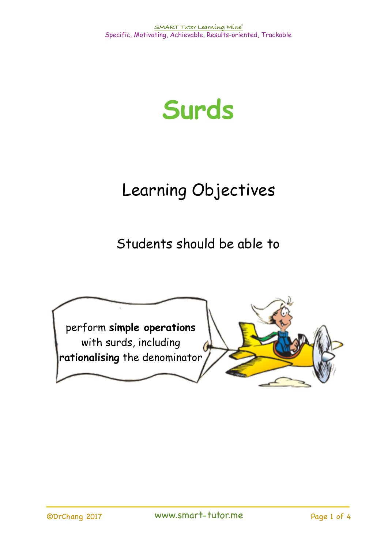

## Learning Objectives

Students should be able to

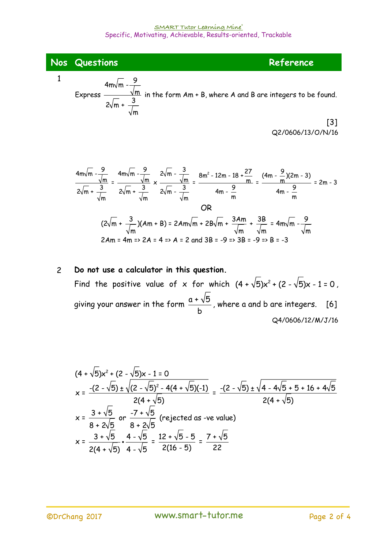**Nos** Questions **Reference** 

1

Express 4m $\sqrt{\mathsf{m}}$  -  $\frac{9}{7}$ m  $2\sqrt{m} + \frac{3}{4}$ m in the form Am + B, where A and B are integers to be found.

 $[3]$ Q2/0606/13/O/N/16

$$
\frac{4m\sqrt{m} - \frac{9}{\sqrt{m}}}{2\sqrt{m} + \frac{3}{\sqrt{m}}} = \frac{4m\sqrt{m} - \frac{9}{\sqrt{m}}}{2\sqrt{m} + \frac{3}{\sqrt{m}}} \times \frac{2\sqrt{m} - \frac{3}{\sqrt{m}}}{2\sqrt{m} - \frac{3}{\sqrt{m}}} = \frac{8m^2 - 12m - 18 + \frac{27}{m}}{4m - \frac{9}{m}} = \frac{(4m - \frac{9}{m})(2m - 3)}{4m - \frac{9}{m}} = 2m - 3
$$
\n
$$
\frac{4m - \frac{9}{m}}{4m - \frac{9}{m}} = \frac{4m - \frac{9}{m}}{4m - \frac{9}{m}} = 2m - 3
$$
\n
$$
(2\sqrt{m} + \frac{3}{\sqrt{m}})(Am + B) = 2Am\sqrt{m} + 2B\sqrt{m} + \frac{3Am}{\sqrt{m}} + \frac{3B}{\sqrt{m}} = 4m\sqrt{m} - \frac{9}{\sqrt{m}}
$$
\n
$$
2Am = 4m \Rightarrow 2A = 4 \Rightarrow A = 2 \text{ and } 3B = -9 \Rightarrow 3B = -9 \Rightarrow B = -3
$$

## 2 **Do not use a calculator in this question.**  Find the positive value of x for which  $(4 + \sqrt{5})x^2 + (2 - \sqrt{5})x - 1 = 0$ , giving your answer in the form  $\frac{a+\sqrt{5}}{2}$  , where a and b are integers. [6] Q4/0606/12/M/J/16 b

$$
(4 + \sqrt{5})x^{2} + (2 - \sqrt{5})x - 1 = 0
$$
\n
$$
x = \frac{-(2 - \sqrt{5}) \pm \sqrt{(2 - \sqrt{5})^{2} - 4(4 + \sqrt{5})(-1)}}{2(4 + \sqrt{5})} = \frac{-(2 - \sqrt{5}) \pm \sqrt{4 - 4\sqrt{5} + 5 + 16 + 4\sqrt{5}}}{2(4 + \sqrt{5})}
$$
\n
$$
x = \frac{3 + \sqrt{5}}{8 + 2\sqrt{5}} \text{ or } \frac{-7 + \sqrt{5}}{8 + 2\sqrt{5}} \text{ (rejected as -ve value)}
$$
\n
$$
x = \frac{3 + \sqrt{5}}{2(4 + \sqrt{5})} \cdot \frac{4 - \sqrt{5}}{4 - \sqrt{5}} = \frac{12 + \sqrt{5} - 5}{2(16 - 5)} = \frac{7 + \sqrt{5}}{22}
$$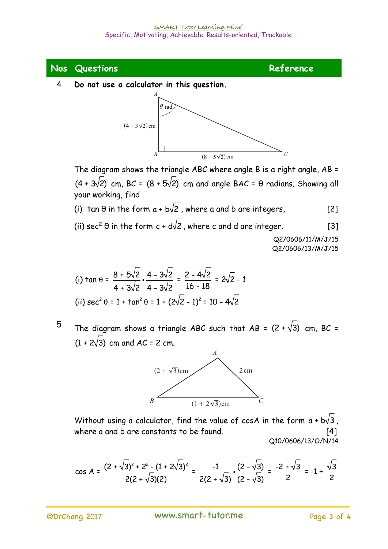

4 **Do not use a calculator in this question. 2 Do not use a calculator in this question**.



The diagram shows the triangle ABC where angle B is a right angle, AB = The diagram shows the triangle *ABC* where angle *B* is a right angle, *AB* = + ^ h 4 3 2 cm,  $(4 + 3\sqrt[3]{2})$  cm, BC =  $(8 + 5\sqrt[3]{2})$  cm and angle BAC =  $\theta$  radians. Showing all your working, find  $\left( \frac{a+b-2}{2} \right)$ 

(i) tan  $\theta$  in the form a + b $\sqrt{2}$  , where a and b are integers,  $[2]$ 

(ii) sec<sup>2</sup>  $\theta$  in the form c + d/2 , where c and d are integer.  $[3]$ 

 Q2/0606/11/M/J/15 Q2/0606/13/M/J/15

(i) 
$$
\tan \theta = \frac{8 + 5\sqrt{2}}{4 + 3\sqrt{2}} \cdot \frac{4 - 3\sqrt{2}}{4^{\frac{1}{2}} \cdot 3\sqrt{2}} = \frac{2 - 4\sqrt{2}}{16 - 18} = 2\sqrt{2} - 1
$$
  
(ii)  $\sec^2 \theta = 1 + \tan^2 \theta = 1 + (2\sqrt{2} - 1)^2 = 10 - 4\sqrt{2}$ 

 $^5$  The diagram shows a triangle ABC such that AB =  $(2 + \sqrt{3})$  cm, BC =  $(1 + 2\sqrt{3})$  cm and AC = 2 cm.  $AC = 2$ 



Without using a calculator, find the val $\mu$ e of cos ${\mathcal A}_a$ in $_b$ t $b$ e form a + b $\sqrt{3}$  , where  $\alpha$  and  $\beta$  are constants to be found.  $[4]$ Q10/0606/13/O/N/14

$$
\cos A = \frac{(2+\sqrt{3})^2 + 2^2 - (1+2\sqrt{3})^2}{2(2+\sqrt{3})(2)} = \frac{-1}{2(2+\sqrt{3})} \cdot \frac{(2-\sqrt{3})}{(2-\sqrt{3})} = \frac{-2+\sqrt{3}}{2} = -1 + \frac{\sqrt{3}}{2}
$$